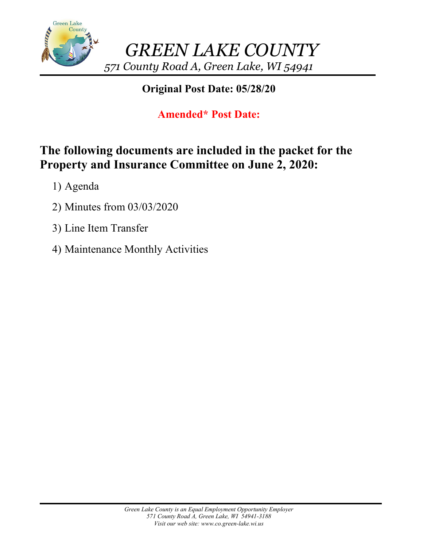

# **Original Post Date: 05/28/20**

# **Amended\* Post Date:**

# **The following documents are included in the packet for the Property and Insurance Committee on June 2, 2020:**

- 1) Agenda
- 2) Minutes from 03/03/2020
- 3) Line Item Transfer
- 4) Maintenance Monthly Activities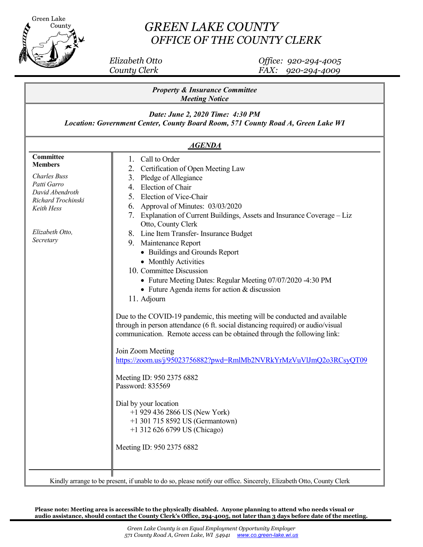

## *GREEN LAKE COUNTY OFFICE OF THE COUNTY CLERK*

 *Elizabeth Otto Office: 920-294-4005 County Clerk FAX: 920-294-4009*

| <b>Property &amp; Insurance Committee</b><br><b>Meeting Notice</b>                                                                           |                                                                                                                                                                                                                                                                                                                                                                                            |  |  |  |  |
|----------------------------------------------------------------------------------------------------------------------------------------------|--------------------------------------------------------------------------------------------------------------------------------------------------------------------------------------------------------------------------------------------------------------------------------------------------------------------------------------------------------------------------------------------|--|--|--|--|
| Date: June 2, 2020 Time: 4:30 PM<br>Location: Government Center, County Board Room, 571 County Road A, Green Lake WI<br><i><b>AGENDA</b></i> |                                                                                                                                                                                                                                                                                                                                                                                            |  |  |  |  |
|                                                                                                                                              |                                                                                                                                                                                                                                                                                                                                                                                            |  |  |  |  |
| Elizabeth Otto,<br>Secretary                                                                                                                 | 7. Explanation of Current Buildings, Assets and Insurance Coverage - Liz<br>Otto, County Clerk<br>8. Line Item Transfer- Insurance Budget<br>Maintenance Report<br>9.<br>• Buildings and Grounds Report<br>• Monthly Activities<br>10. Committee Discussion<br>• Future Meeting Dates: Regular Meeting 07/07/2020 -4:30 PM<br>• Future Agenda items for action & discussion<br>11. Adjourn |  |  |  |  |
|                                                                                                                                              | Due to the COVID-19 pandemic, this meeting will be conducted and available<br>through in person attendance (6 ft. social distancing required) or audio/visual<br>communication. Remote access can be obtained through the following link:<br>Join Zoom Meeting<br>https://zoom.us/j/95023756882?pwd=RmlMb2NVRkYrMzVuVlJmQ2o3RCsyQT09                                                       |  |  |  |  |
|                                                                                                                                              | Meeting ID: 950 2375 6882<br>Password: 835569<br>Dial by your location<br>$+1$ 929 436 2866 US (New York)<br>+1 301 715 8592 US (Germantown)<br>+1 312 626 6799 US (Chicago)                                                                                                                                                                                                               |  |  |  |  |
|                                                                                                                                              | Meeting ID: 950 2375 6882<br>Kindly arrange to be present if unable to do so, please notify our office. Sincerely Elizabeth Otto, County Clerk                                                                                                                                                                                                                                             |  |  |  |  |

Kindly arrange to be present, if unable to do so, please notify our office. Sincerely, Elizabeth Otto, County Clerk

**Please note: Meeting area is accessible to the physically disabled. Anyone planning to attend who needs visual or audio assistance, should contact the County Clerk's Office, 294-4005, not later than 3 days before date 0f the meeting.**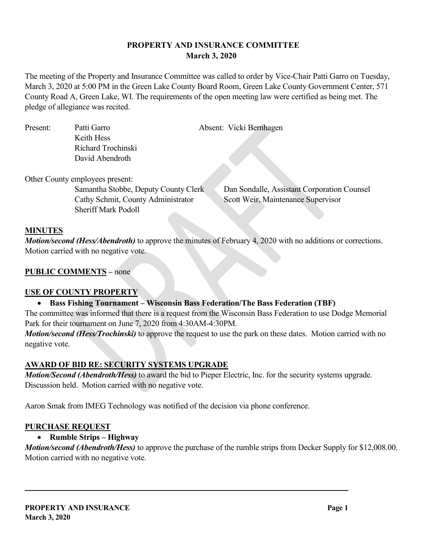### **PROPERTY AND INSURANCE COMMITTEE March 3, 2020**

The meeting of the Property and Insurance Committee was called to order by Vice-Chair Patti Garro on Tuesday, March 3, 2020 at 5:00 PM in the Green Lake County Board Room, Green Lake County Government Center, 571 County Road A, Green Lake, WI. The requirements of the open meeting law were certified as being met. The pledge of allegiance was recited.

| Present: | Patti Garro        | Absent: Vicki Bernhagen |
|----------|--------------------|-------------------------|
|          | Keith Hess         |                         |
|          | Richard Trochinski |                         |
|          | David Abendroth    |                         |

Other County employees present:

Cathy Schmit, County Administrator Scott Weir, Maintenance Supervisor Sheriff Mark Podoll

Samantha Stobbe, Deputy County Clerk Dan Sondalle, Assistant Corporation Counsel

#### **MINUTES**

*Motion/second (Hess/Abendroth)* to approve the minutes of February 4, 2020 with no additions or corrections. Motion carried with no negative vote.

#### **PUBLIC COMMENTS –** none

#### **USE OF COUNTY PROPERTY**

#### • **Bass Fishing Tournament – Wisconsin Bass Federation/The Bass Federation (TBF)**

The committee was informed that there is a request from the Wisconsin Bass Federation to use Dodge Memorial Park for their tournament on June 7, 2020 from 4:30AM-4:30PM.

*Motion/second (Hess/Trochinski)* to approve the request to use the park on these dates. Motion carried with no negative vote.

#### **AWARD OF BID RE: SECURITY SYSTEMS UPGRADE**

*Motion/Second (Abendroth/Hess)* to award the bid to Pieper Electric, Inc. for the security systems upgrade. Discussion held. Motion carried with no negative vote.

Aaron Smak from IMEG Technology was notified of the decision via phone conference.

#### **PURCHASE REQUEST**

#### • **Rumble Strips – Highway**

*Motion/second (Abendroth/Hess)* to approve the purchase of the rumble strips from Decker Supply for \$12,008.00. Motion carried with no negative vote.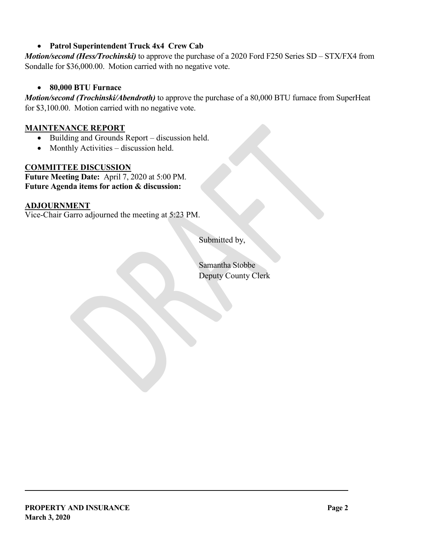### • **Patrol Superintendent Truck 4x4 Crew Cab**

*Motion/second (Hess/Trochinski)* to approve the purchase of a 2020 Ford F250 Series SD – STX/FX4 from Sondalle for \$36,000.00. Motion carried with no negative vote.

### • **80,000 BTU Furnace**

*Motion/second (Trochinski/Abendroth)* to approve the purchase of a 80,000 BTU furnace from SuperHeat for \$3,100.00. Motion carried with no negative vote.

### **MAINTENANCE REPORT**

- Building and Grounds Report discussion held.
- Monthly Activities discussion held.

### **COMMITTEE DISCUSSION**

**Future Meeting Date:** April 7, 2020 at 5:00 PM. **Future Agenda items for action & discussion:**

#### **ADJOURNMENT**

Vice-Chair Garro adjourned the meeting at 5:23 PM.

Submitted by,

Samantha Stobbe Deputy County Clerk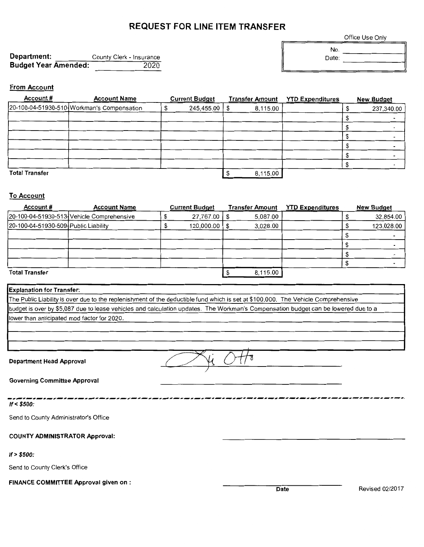## **REQUEST FOR LINE ITEM TRANSFER**

Office Use Only

**Department:** County Clerk - Insurance **Budget Year Amended:** 2020

No. Date:

#### **From Account**

| Account#<br><b>Account Name</b> |                                            | <b>Current Budget</b> |            | <b>Transfer Amount</b> |          | <b>YTD Expenditures</b> | <b>New Budget</b> |
|---------------------------------|--------------------------------------------|-----------------------|------------|------------------------|----------|-------------------------|-------------------|
|                                 | 20-100-04-51930-510 Workman's Compensation |                       | 245,455.00 | \$                     | 8,115.00 |                         | 237,340.00        |
|                                 |                                            |                       |            |                        |          |                         |                   |
|                                 |                                            |                       |            |                        |          |                         |                   |
|                                 |                                            |                       |            |                        |          |                         |                   |
|                                 |                                            |                       |            |                        |          |                         |                   |
|                                 |                                            |                       |            |                        |          |                         |                   |
|                                 |                                            |                       |            |                        |          |                         |                   |
| <b>Total Transfer</b>           |                                            |                       | 8,115.00   |                        |          |                         |                   |

#### **To Account**

| Account#                             | <b>Account Name</b>                       |  | <b>Current Budget</b> | <b>Transfer Amount</b> | <b>YTD Expenditures</b> | <b>New Budget</b> |
|--------------------------------------|-------------------------------------------|--|-----------------------|------------------------|-------------------------|-------------------|
|                                      | 20-100-04-51930-513 Vehicle Comprehensive |  | 27,767.00             | 5.087.00               |                         | 32,854.00         |
| 20-100-04-51930-509 Public Liability |                                           |  | 120,000.00            | 3.028.00               |                         | 123,028.00        |
|                                      |                                           |  |                       |                        |                         |                   |
|                                      |                                           |  |                       |                        |                         |                   |
|                                      |                                           |  |                       |                        |                         |                   |
|                                      |                                           |  |                       |                        |                         |                   |
| <b>Total Transfer</b>                |                                           |  | 8,115.00              |                        |                         |                   |

#### **Explanation for Transfer:**

The Public Liability is over due to the replenishment of the deductible fund which is set at \$100,000. The Vehicle Comprehensive budget is over by \$5,087 due to lease vehicles and calculation updates. The Workman's Compensation budget can be lowered due to a lower than anticipated mod factor for 2020.

**Department Head Approval** *CHA* /

**Governing Committee Approval** 

----------------------------------------------------------------------------- **If< \$500:** 

Send to County Administrator's Office

**COUNTY ADMINISTRATOR Approval:** 

#### **If> \$500:**

Send to County Clerk's Office

**FINANCE COMMITTEE Approval given on** :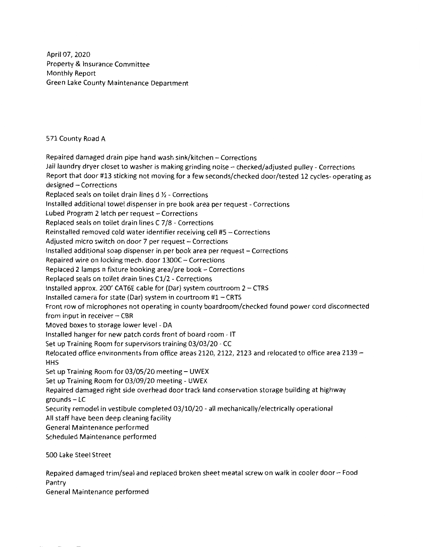April 07, 2020 Property & Insurance Committee Monthly Report Green Lake County Maintenance Department

571 County Road A

Repaired damaged drain pipe hand wash sink/kitchen - Corrections Jail laundry dryer closet to washer is making grinding noise - checked/adjusted pulley - Corrections Report that door #13 sticking not moving for a few seconds/checked door/tested 12 cycles- operating as designed - Corrections Replaced seals on toilet drain lines d  $\frac{1}{2}$  - Corrections Installed additional towel dispenser in pre book area per request - Corrections Lubed Program 2 latch per request  $-$  Corrections Replaced seals on toilet drain lines C 7/8 - Corrections Reinstalled removed cold water identifier receiving cell #5 - Corrections Adjusted micro switch on door 7 per request - Corrections Installed additional soap dispenser in per book area per request - Corrections Repaired wire on locking mech. door 1300C - Corrections Replaced 2 lamps n fixture booking area/pre book - Corrections Replaced seals on toilet drain fines Cl/2 - Corrections Installed approx. 200' CAT6E cable for (Dar) system courtroom  $2 - CTRS$ Installed camera for state (Dar) system in courtroom  $#1 - CRTS$ Front row of microphones not operating in county boardroom/checked found power cord disconnected from input in receiver $-$  CBR Moved boxes to storage lower level - DA Installed hanger for new patch cords front of board room - IT Set up Training Room for supervisors training 03/03/20 - CC Relocated office environments from office areas 2120, 2122, 2123 and relocated to office area 2139 -HHS Set up Training Room for  $03/05/20$  meeting  $-$  UWEX Set up Training Room for 03/09/20 meeting - UWEX Repaired damaged right side overhead door track land conservation storage building at highway  $grounds - LC$ Security remodel in vestibule completed 03/10/20 - all mechanically/electrically operational All staff have been deep cleaning facility General Maintenance performed Scheduled Maintenance performed

500 Lake Steel Street

Repaired damaged trim/seal and replaced broken sheet meatal screw on walk in cooler door - Food Pantry

General Maintenance performed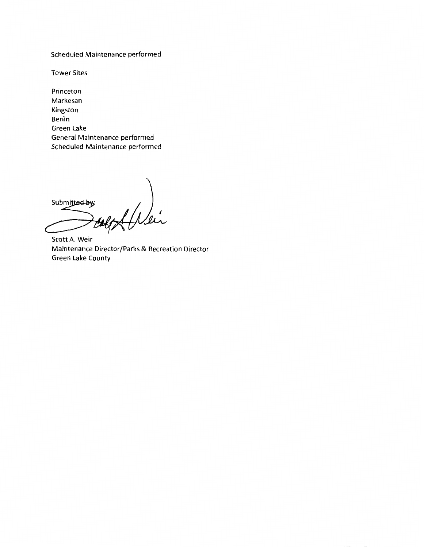Scheduled Maintenance performed

Tower Sites

Princeton Markesan Kingston Berlin Green Lake General Maintenance performed Scheduled Maintenance performed

 $\sqrt{2}$ Submitted by: lú

Scott A. Weir Maintenance Director/Parks & Recreation Director Green Lake County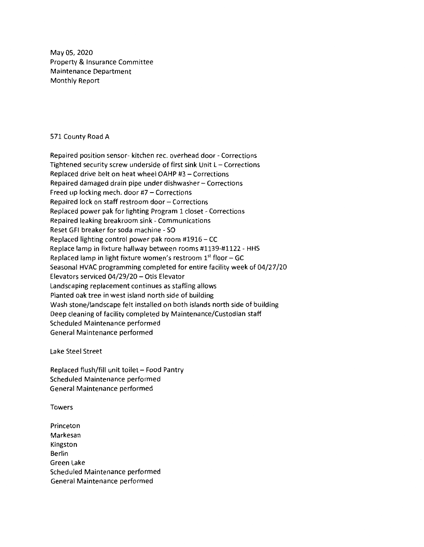Mayos, 2020 Property & Insurance Committee Maintenance Department Monthly Report

#### 571 County Road A

Repaired position sensor- kitchen rec. overhead door - Corrections Tightened security screw underside of first sink Unit  $L -$  Corrections Replaced drive belt on heat wheel OAHP #3 - Corrections Repaired damaged drain pipe under dishwasher- Corrections Freed up locking mech. door  $#7$  - Corrections Repaired lock on staff restroom door - Corrections Replaced power pak for lighting Program 1 closet - Corrections Repaired leaking breakroom sink - Communications Reset GFI breaker for soda machine - SO Replaced lighting control power pak room #1916 - CC Replace lamp in fixture hallway between rooms #1139-#1122 - HHS Replaced lamp in light fixture women's restroom  $1<sup>st</sup>$  floor – GC Seasonal HVAC programming completed for entire facility week of 04/27 /20 Elevators serviced 04/29/20 - Otis Elevator Landscaping replacement continues as staffing allows Planted oak tree in west island north side of building Wash stone/landscape felt installed on both islands north side of building Deep cleaning of facility completed by Maintenance/Custodian staff Scheduled Maintenance performed General Maintenance performed

Lake Steel Street

Replaced flush/fill unit toilet - Food Pantry Scheduled Maintenance performed General Maintenance performed

Towers

Princeton Markesan Kingston Berlin Green Lake Scheduled Maintenance performed General Maintenance performed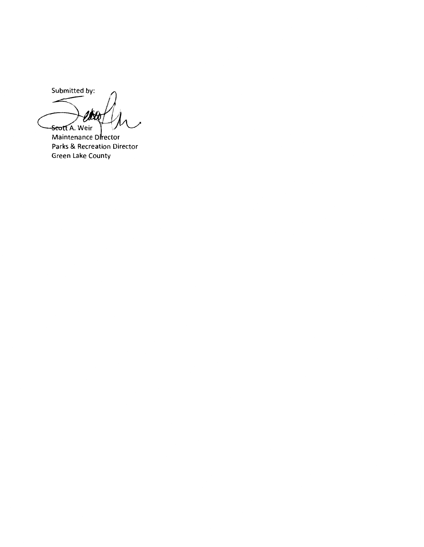Submitted by: 沊 <del>-Seott</del> A. Weir

Maintenance Director Parks & Recreation Director Green Lake County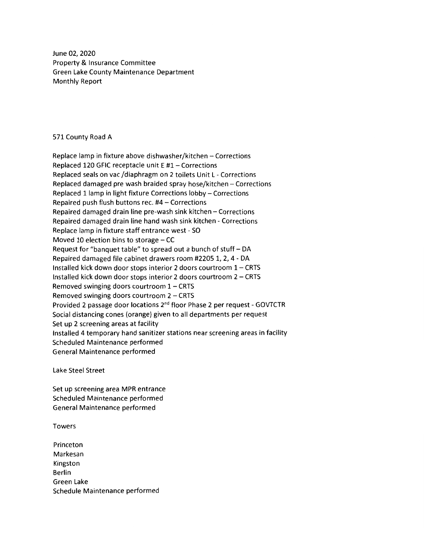June 02, 2020 Property & Insurance Committee Green Lake County Maintenance Department Monthly Report

571 County Road A

Replace lamp in fixture above dishwasher/kitchen - Corrections Replaced 120 GFIC receptacle unit E #1- Corrections Replaced seals on vac /diaphragm on 2 toilets Unit L - Corrections Replaced damaged pre wash braided spray hose/kitchen - Corrections Replaced 1 lamp in light fixture Corrections lobby - Corrections Repaired push flush buttons rec.  $#4 -$  Corrections Repaired damaged drain line pre-wash sink kitchen - Corrections Repaired damaged drain line hand wash sink kitchen - Corrections Replace lamp in fixture staff entrance west - SO Moved 10 election bins to storage  $-$  CC Request for "banquet table" to spread out a bunch of stuff- DA Repaired damaged file cabinet drawers room #2205 1, 2, 4 - DA Installed kick down door stops interior 2 doors courtroom  $1 - CRTS$ Installed kick down door stops interior 2 doors courtroom 2 - CRTS Removed swinging doors courtroom  $1 - CRTS$ Removed swinging doors courtroom  $2 - CRTS$ Provided 2 passage door locations 2nd floor Phase 2 per request - GOVTCTR Social distancing cones (orange) given to all departments per request Set up 2 screening areas at facility Installed 4 temporary hand sanitizer stations near screening areas in facility Scheduled Maintenance performed General Maintenance performed

Lake Steel Street

Set up screening area MPR entrance Scheduled Maintenance performed General Maintenance performed

Towers

Princeton Markesan Kingston Berlin Green Lake Schedule Maintenance performed